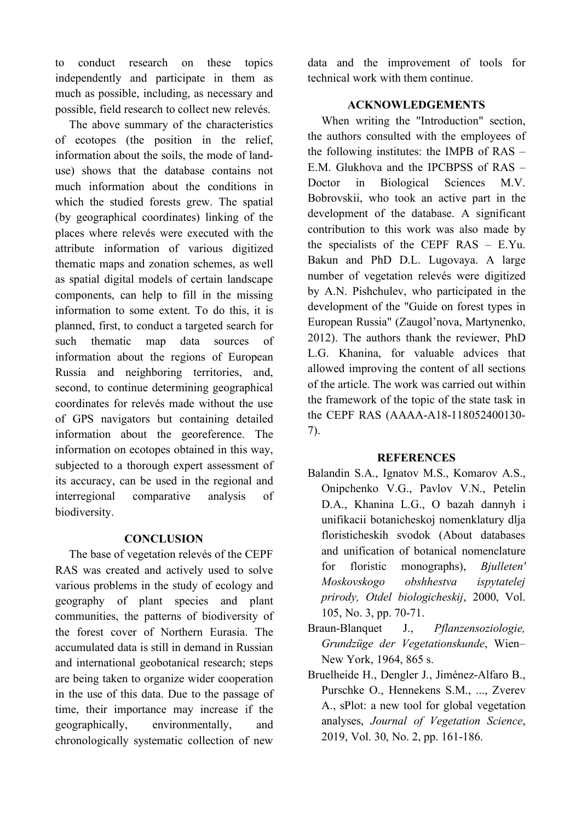to conduct research on these topics independently and participate in them as much as possible, including, as necessary and possible, field research to collect new relevés.

The above summary of the characteristics of ecotopes (the position in the relief, information about the soils, the mode of landuse) shows that the database contains not much information about the conditions in which the studied forests grew. The spatial (by geographical coordinates) linking of the places where relevés were executed with the attribute information of various digitized thematic maps and zonation schemes, as well as spatial digital models of certain landscape components, can help to fill in the missing information to some extent. To do this, it is planned, first, to conduct a targeted search for such thematic map data sources of information about the regions of European Russia and neighboring territories, and, second, to continue determining geographical coordinates for relevés made without the use of GPS navigators but containing detailed information about the georeference. The information on ecotopes obtained in this way, subjected to a thorough expert assessment of its accuracy, can be used in the regional and interregional comparative analysis of biodiversity.

## **CONCLUSION**

The base of vegetation relevés of the CEPF RAS was created and actively used to solve various problems in the study of ecology and geography of plant species and plant communities, the patterns of biodiversity of the forest cover of Northern Eurasia. The accumulated data is still in demand in Russian and international geobotanical research; steps are being taken to organize wider cooperation in the use of this data. Due to the passage of time, their importance may increase if the geographically, environmentally, and chronologically systematic collection of new

data and the improvement of tools for technical work with them continue.

## **ACKNOWLEDGEMENTS**

When writing the "Introduction" section, the authors consulted with the employees of the following institutes: the IMPB of RAS – E.M. Glukhova and the IPCBPSS of RAS – Doctor in Biological Sciences M.V. Bobrovskii, who took an active part in the development of the database. A significant contribution to this work was also made by the specialists of the CEPF RAS – E.Yu. Bakun and PhD D.L. Lugovaya. A large number of vegetation relevés were digitized by A.N. Pishchulev, who participated in the development of the "Guide on forest types in European Russia" (Zaugol'nova, Martynenko, 2012). The authors thank the reviewer, PhD L.G. Khanina, for valuable advices that allowed improving the content of all sections of the article. The work was carried out within the framework of the topic of the state task in the CEPF RAS (AAAA-A18-118052400130- 7).

## **REFERENCES**

- Balandin S.A., Ignatov M.S., Komarov A.S., Onipchenko V.G., Pavlov V.N., Petelin D.A., Khanina L.G., O bazah dannyh i unifikacii botanicheskoj nomenklatury dlja floristicheskih svodok (About databases and unification of botanical nomenclature for floristic monographs), *Bjulleten' Moskovskogo obshhestva ispytatelej prirody, Otdel biologicheskij*, 2000, Vol. 105, No. 3, pp. 70-71.
- Braun-Blanquet J., *Pflanzensoziologie, Grundzüge der Vegetationskunde*, Wien– New York, 1964, 865 s.
- Bruelheide H., Dengler J., Jiménez-Alfaro B., Purschke O., Hennekens S.M., ..., Zverev A., sPlot: a new tool for global vegetation analyses, *Journal of Vegetation Science*, 2019, Vol. 30, No. 2, pp. 161-186.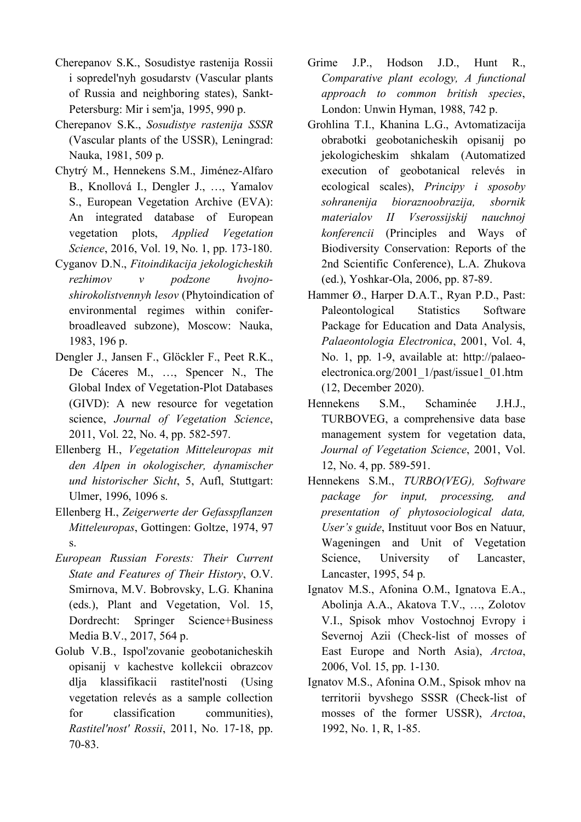- Cherepanov S.K., Sosudistye rastenija Rossii i sopredel'nyh gosudarstv (Vascular plants of Russia and neighboring states), Sankt-Petersburg: Mir i sem'ja, 1995, 990 p.
- Cherepanov S.K., *Sosudistye rastenija SSSR* (Vascular plants of the USSR), Leningrad: Nauka, 1981, 509 p.
- Chytrý M., Hennekens S.M., Jiménez-Alfaro B., Knollová I., Dengler J., …, Yamalov S., European Vegetation Archive (EVA): An integrated database of European vegetation plots, *Applied Vegetation Science*, 2016, Vol. 19, No. 1, pp. 173-180.
- Cyganov D.N., *Fitoindikacija jekologicheskih rezhimov v podzone hvojnoshirokolistvennyh lesov* (Phytoindication of environmental regimes within coniferbroadleaved subzone), Moscow: Nauka, 1983, 196 p.
- Dengler J., Jansen F., Glöckler F., Peet R.K., De Cáceres M., …, Spencer N., The Global Index of Vegetation-Plot Databases (GIVD): A new resource for vegetation science, *Journal of Vegetation Science*, 2011, Vol. 22, No. 4, pp. 582-597.
- Ellenberg H., *Vegetation Mitteleuropas mit den Alpen in okologischer, dynamischer und historischer Sicht*, 5, Aufl, Stuttgart: Ulmer, 1996, 1096 s.
- Ellenberg H., *Zeigerwerte der Gefasspflanzen Mitteleuropas*, Gottingen: Goltze, 1974, 97 s.
- *European Russian Forests: Their Current State and Features of Their History*, O.V. Smirnova, M.V. Bobrovsky, L.G. Khanina (eds.), Plant and Vegetation, Vol. 15, Dordrecht: Springer Science+Business Media B.V., 2017, 564 p.
- Golub V.B., Ispol'zovanie geobotanicheskih opisanij v kachestve kollekcii obrazcov dlja klassifikacii rastitel'nosti (Using vegetation relevés as a sample collection for classification communities), *Rastitel'nost' Rossii*, 2011, No. 17-18, pp. 70-83.
- Grime J.P., Hodson J.D., Hunt R., *Comparative plant ecology, A functional approach to common british species*, London: Unwin Hyman, 1988, 742 p.
- Grohlina T.I., Khanina L.G., Avtomatizacija obrabotki geobotanicheskih opisanij po jekologicheskim shkalam (Automatized execution of geobotanical relevés in ecological scales), *Principy i sposoby sohranenija bioraznoobrazija, sbornik materialov II Vserossijskij nauchnoj konferencii* (Principles and Ways of Biodiversity Conservation: Reports of the 2nd Scientific Conference), L.A. Zhukova (ed.), Yoshkar-Ola, 2006, pp. 87-89.
- Hammer Ø., Harper D.A.T., Ryan P.D., Past: Paleontological Statistics Software Package for Education and Data Analysis, *Palaeontologia Electronica*, 2001, Vol. 4, No. 1, pp. 1-9, available at: http://palaeoelectronica.org/2001\_1/past/issue1\_01.htm (12, December 2020).
- Hennekens S.M., Schaminée J.H.J., TURBOVEG, a comprehensive data base management system for vegetation data, *Journal of Vegetation Science*, 2001, Vol. 12, No. 4, pp. 589-591.
- Hennekens S.M., *TURBO(VEG), Software package for input, processing, and presentation of phytosociological data, User's guide*, Instituut voor Bos en Natuur, Wageningen and Unit of Vegetation Science, University of Lancaster, Lancaster, 1995, 54 p.
- Ignatov M.S., Afonina O.M., Ignatova E.A., Abolinja A.A., Akatova T.V., …, Zolotov V.I., Spisok mhov Vostochnoj Evropy i Severnoj Azii (Check-list of mosses of East Europe and North Asia), *Arctoa*, 2006, Vol. 15, pp. 1-130.
- Ignatov M.S., Afonina O.M., Spisok mhov na territorii byvshego SSSR (Check-list of mosses of the former USSR), *Arctoa*, 1992, No. 1, R, 1-85.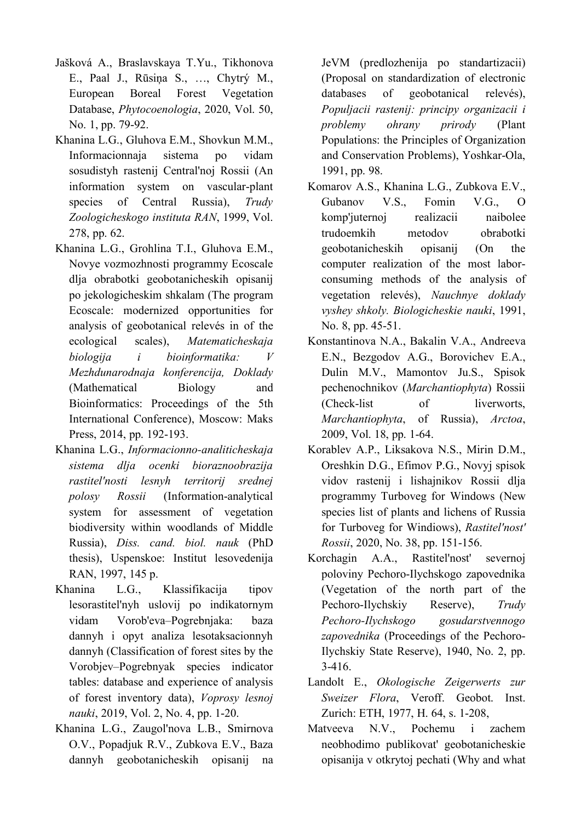- Jašková A., Braslavskaya T.Yu., Tikhonova E., Paal J., Rūsiņa S., …, Chytrý M., European Boreal Forest Vegetation Database, *Phytocoenologia*, 2020, Vol. 50, No. 1, pp. 79-92.
- Khanina L.G., Gluhova E.M., Shovkun M.M., Informacionnaja sistema po vidam sosudistyh rastenij Central'noj Rossii (An information system on vascular-plant species of Central Russia), *Trudy Zoologicheskogo instituta RAN*, 1999, Vol. 278, pp. 62.
- Khanina L.G., Grohlina T.I., Gluhova E.M., Novye vozmozhnosti programmy Ecoscale dlja obrabotki geobotanicheskih opisanij po jekologicheskim shkalam (The program Ecoscale: modernized opportunities for analysis of geobotanical relevés in of the ecological scales), *Matematicheskaja biologija i bioinformatika: V Mezhdunarodnaja konferencija, Doklady* (Mathematical Biology and Bioinformatics: Proceedings of the 5th International Conference), Moscow: Maks Press, 2014, pp. 192-193.
- Khanina L.G., *Informacionno-analiticheskaja sistema dlja ocenki bioraznoobrazija rastitel'nosti lesnyh territorij srednej polosy Rossii* (Information-analytical system for assessment of vegetation biodiversity within woodlands of Middle Russia), *Diss. cand. biol. nauk* (PhD thesis), Uspenskoe: Institut lesovedenija RAN, 1997, 145 p.
- Khanina L.G., Klassifikacija tipov lesorastitel'nyh uslovij po indikatornym vidam Vorob'eva–Pogrebnjaka: baza dannyh i opyt analiza lesotaksacionnyh dannyh (Classification of forest sites by the Vorobjev–Pogrebnyak species indicator tables: database and experience of analysis of forest inventory data), *Voprosy lesnoj nauki*, 2019, Vol. 2, No. 4, pp. 1-20.
- Khanina L.G., Zaugol'nova L.B., Smirnova O.V., Popadjuk R.V., Zubkova E.V., Baza dannyh geobotanicheskih opisanij na

JeVM (predlozhenija po standartizacii) (Proposal on standardization of electronic databases of geobotanical relevés), *Populjacii rastenij: principy organizacii i problemy ohrany prirody* (Plant Populations: the Principles of Organization and Conservation Problems), Yoshkar-Ola, 1991, pp. 98.

- Komarov A.S., Khanina L.G., Zubkova E.V., Gubanov V.S., Fomin V.G., O komp'juternoj realizacii naibolee trudoemkih metodov obrabotki geobotanicheskih opisanij (On the computer realization of the most laborconsuming methods of the analysis of vegetation relevés), *Nauchnye doklady vyshey shkoly. Biologicheskie nauki*, 1991, No. 8, pp. 45-51.
- Konstantinova N.A., Bakalin V.A., Andreeva E.N., Bezgodov A.G., Borovichev E.A., Dulin M.V., Mamontov Ju.S., Spisok pechenochnikov (*Marchantiophyta*) Rossii (Check-list of liverworts, *Marchantiophyta*, of Russia), *Arctoa*, 2009, Vol. 18, pp. 1-64.
- Korablev A.P., Liksakova N.S., Mirin D.M., Oreshkin D.G., Efimov P.G., Novyj spisok vidov rastenij i lishajnikov Rossii dlja programmy Turboveg for Windows (New species list of plants and lichens of Russia for Turboveg for Windiows), *Rastitel'nost' Rossii*, 2020, No. 38, pp. 151-156.
- Korchagin A.A., Rastitel'nost' severnoj poloviny Pechoro-Ilychskogo zapovednika (Vegetation of the north part of the Pechoro-Ilychskiy Reserve), *Trudy Pechoro-Ilychskogo gosudarstvennogo zapovednika* (Proceedings of the Pechoro-Ilychskiy State Reserve), 1940, No. 2, pp. 3-416.
- Landolt E., *Okologische Zeigerwerts zur Sweizer Flora*, Veroff. Geobot. Inst. Zurich: ETH, 1977, H. 64, s. 1-208,
- Matveeva N.V., Pochemu i zachem neobhodimo publikovat' geobotanicheskie opisanija v otkrytoj pechati (Why and what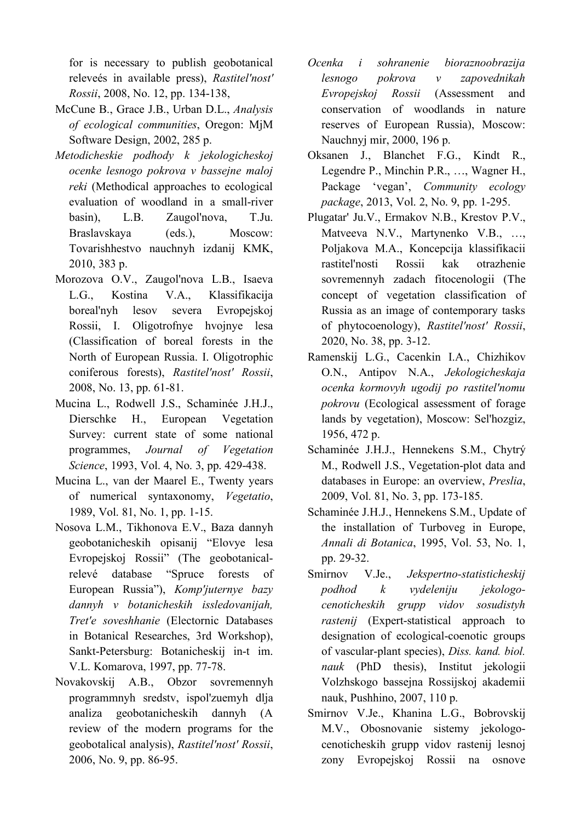for is necessary to publish geobotanical releveés in available press), *Rastitel'nost' Rossii*, 2008, No. 12, pp. 134-138,

- McCune B., Grace J.B., Urban D.L., *Analysis of ecological communities*, Oregon: MjM Software Design, 2002, 285 p.
- *Metodicheskie podhody k jekologicheskoj ocenke lesnogo pokrova v bassejne maloj reki* (Methodical approaches to ecological evaluation of woodland in a small-river basin), L.B. Zaugol'nova, T.Ju. Braslavskaya (eds.), Moscow: Tovarishhestvo nauchnyh izdanij KMK, 2010, 383 p.
- Morozova O.V., Zaugol'nova L.B., Isaeva L.G., Kostina V.A., Klassifikacija boreal'nyh lesov severa Evropejskoj Rossii, I. Oligotrofnye hvojnye lesa (Classification of boreal forests in the North of European Russia. I. Oligotrophic coniferous forests), *Rastitel'nost' Rossii*, 2008, No. 13, pp. 61-81.
- Mucina L., Rodwell J.S., Schaminée J.H.J., Dierschke H., European Vegetation Survey: current state of some national programmes, *Journal of Vegetation Science*, 1993, Vol. 4, No. 3, pp. 429-438.
- Mucina L., van der Maarel E., Twenty years of numerical syntaxonomy, *Vegetatio*, 1989, Vol. 81, No. 1, pp. 1-15.
- Nosova L.M., Tikhonova E.V., Baza dannyh geobotanicheskih opisanij "Elovye lesa Evropejskoj Rossii" (The geobotanicalrelevé database "Spruce forests of European Russia"), *Komp'juternye bazy dannyh v botanicheskih issledovanijah, Tret'e soveshhanie* (Electornic Databases in Botanical Researches, 3rd Workshop), Sankt-Petersburg: Botanicheskij in-t im. V.L. Komarova, 1997, pp. 77-78.
- Novakovskij A.B., Obzor sovremennyh programmnyh sredstv, ispol'zuemyh dlja analiza geobotanicheskih dannyh (A review of the modern programs for the geobotalical analysis), *Rastitel'nost' Rossii*, 2006, No. 9, pp. 86-95.
- *Ocenka i sohranenie bioraznoobrazija lesnogo pokrova v zapovednikah Evropejskoj Rossii* (Assessment and conservation of woodlands in nature reserves of European Russia), Moscow: Nauchnyj mir, 2000, 196 p.
- Oksanen J., Blanchet F.G., Kindt R., Legendre P., Minchin P.R., …, Wagner H., Package 'vegan', *Community ecology package*, 2013, Vol. 2, No. 9, pp. 1-295.
- Plugatar' Ju.V., Ermakov N.B., Krestov P.V., Matveeva N.V., Martynenko V.B., …, Poljakova M.A., Koncepcija klassifikacii rastitel'nosti Rossii kak otrazhenie sovremennyh zadach fitocenologii (The concept of vegetation classification of Russia as an image of contemporary tasks of phytocoenology), *Rastitel'nost' Rossii*, 2020, No. 38, pp. 3-12.
- Ramenskij L.G., Cacenkin I.A., Chizhikov O.N., Antipov N.A., *Jekologicheskaja ocenka kormovyh ugodij po rastitel'nomu pokrovu* (Ecological assessment of forage lands by vegetation), Moscow: Sel'hozgiz, 1956, 472 p.
- Schaminée J.H.J., Hennekens S.M., Chytrý M., Rodwell J.S., Vegetation-plot data and databases in Europe: an overview, *Preslia*, 2009, Vol. 81, No. 3, pp. 173-185.
- Schaminée J.H.J., Hennekens S.M., Update of the installation of Turboveg in Europe, *Annali di Botanica*, 1995, Vol. 53, No. 1, pp. 29-32.
- Smirnov V.Je., *Jekspertno-statisticheskij podhod k vydeleniju jekologocenoticheskih grupp vidov sosudistyh rastenij* (Expert-statistical approach to designation of ecological-coenotic groups of vascular-plant species), *Diss. kand. biol. nauk* (PhD thesis), Institut jekologii Volzhskogo bassejna Rossijskoj akademii nauk, Pushhino, 2007, 110 p.
- Smirnov V.Je., Khanina L.G., Bobrovskij M.V., Obosnovanie sistemy jekologocenoticheskih grupp vidov rastenij lesnoj zony Evropejskoj Rossii na osnove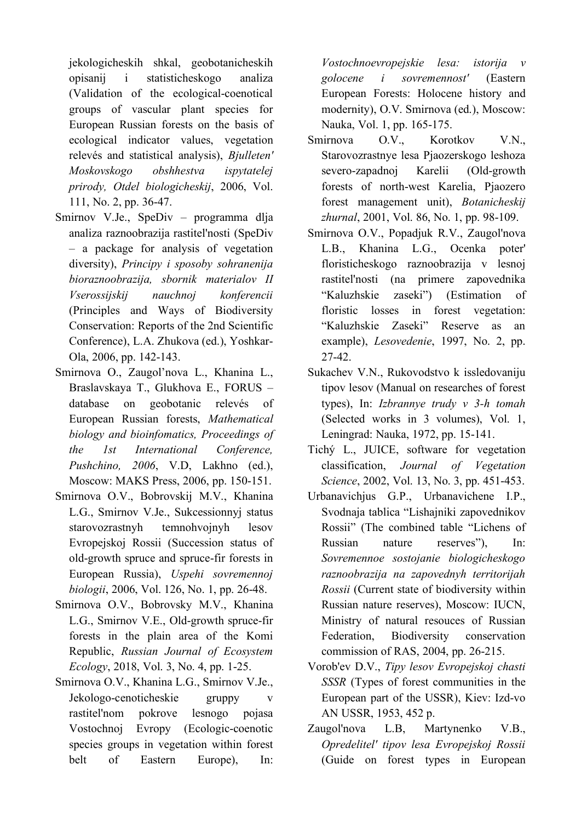jekologicheskih shkal, geobotanicheskih opisanij i statisticheskogo analiza (Validation of the ecological-coenotical groups of vascular plant species for European Russian forests on the basis of ecological indicator values, vegetation relevés and statistical analysis), *Bjulleten' Moskovskogo obshhestva ispytatelej prirody, Otdel biologicheskij*, 2006, Vol. 111, No. 2, pp. 36-47.

- Smirnov V.Je., SpeDiv programma dlja analiza raznoobrazija rastitel'nosti (SpeDiv – a package for analysis of vegetation diversity), *Principy i sposoby sohranenija bioraznoobrazija, sbornik materialov II Vserossijskij nauchnoj konferencii* (Principles and Ways of Biodiversity Conservation: Reports of the 2nd Scientific Conference), L.A. Zhukova (ed.), Yoshkar-Ola, 2006, pp. 142-143.
- Smirnova O., Zaugol'nova L., Khanina L., Braslavskaya T., Glukhova E., FORUS – database on geobotanic relevés of European Russian forests, *Mathematical biology and bioinfomatics, Proceedings of the 1st International Conference, Pushchino, 2006*, V.D, Lakhno (ed.), Moscow: MAKS Press, 2006, pp. 150-151.
- Smirnova O.V., Bobrovskij M.V., Khanina L.G., Smirnov V.Je., Sukcessionnyj status starovozrastnyh temnohvojnyh lesov Evropejskoj Rossii (Succession status of old-growth spruce and spruce-fir forests in European Russia), *Uspehi sovremennoj biologii*, 2006, Vol. 126, No. 1, pp. 26-48.
- Smirnova O.V., Bobrovsky M.V., Khanina L.G., Smirnov V.E., Old-growth spruce-fir forests in the plain area of the Komi Republic, *Russian Journal of Ecosystem Ecology*, 2018, Vol. 3, No. 4, pp. 1-25.
- Smirnova O.V., Khanina L.G., Smirnov V.Je., Jekologo-cenoticheskie gruppy v rastitel'nom pokrove lesnogo pojasa Vostochnoj Evropy (Ecologic-coenotic species groups in vegetation within forest belt of Eastern Europe), In:

*Vostochnoevropejskie lesa: istorija v golocene i sovremennost'* (Eastern European Forests: Holocene history and modernity), O.V. Smirnova (ed.), Moscow: Nauka, Vol. 1, pp. 165-175.

- Smirnova O.V., Korotkov V.N., Starovozrastnye lesa Pjaozerskogo leshoza severo-zapadnoj Karelii (Old-growth forests of north-west Karelia, Pjaozero forest management unit), *Botanicheskij zhurnal*, 2001, Vol. 86, No. 1, pp. 98-109.
- Smirnova O.V., Popadjuk R.V., Zaugol'nova L.B., Khanina L.G., Ocenka poter' floristicheskogo raznoobrazija v lesnoj rastitel'nosti (na primere zapovednika "Kaluzhskie zaseki") (Estimation of floristic losses in forest vegetation: "Kaluzhskie Zaseki" Reserve as an example), *Lesovedenie*, 1997, No. 2, pp. 27-42.
- Sukachev V.N., Rukovodstvo k issledovaniju tipov lesov (Manual on researches of forest types), In: *Izbrannye trudy v 3-h tomah* (Selected works in 3 volumes), Vol. 1, Leningrad: Nauka, 1972, pp. 15-141.
- Tichý L., JUICE, software for vegetation classification, *Journal of Vegetation Science*, 2002, Vol. 13, No. 3, pp. 451-453.
- Urbanavichjus G.P., Urbanavichene I.P., Svodnaja tablica "Lishajniki zapovednikov Rossii" (The combined table "Lichens of Russian nature reserves"), In: *Sovremennoe sostojanie biologicheskogo raznoobrazija na zapovednyh territorijah Rossii* (Current state of biodiversity within Russian nature reserves), Moscow: IUCN, Ministry of natural resouces of Russian Federation, Biodiversity conservation commission of RAS, 2004, pp. 26-215.
- Vorob'ev D.V., *Tipy lesov Evropejskoj chasti SSSR* (Types of forest communities in the European part of the USSR), Kiev: Izd-vo AN USSR, 1953, 452 p.
- Zaugol'nova L.B, Martynenko V.B., *Opredelitel' tipov lesa Evropejskoj Rossii* (Guide on forest types in European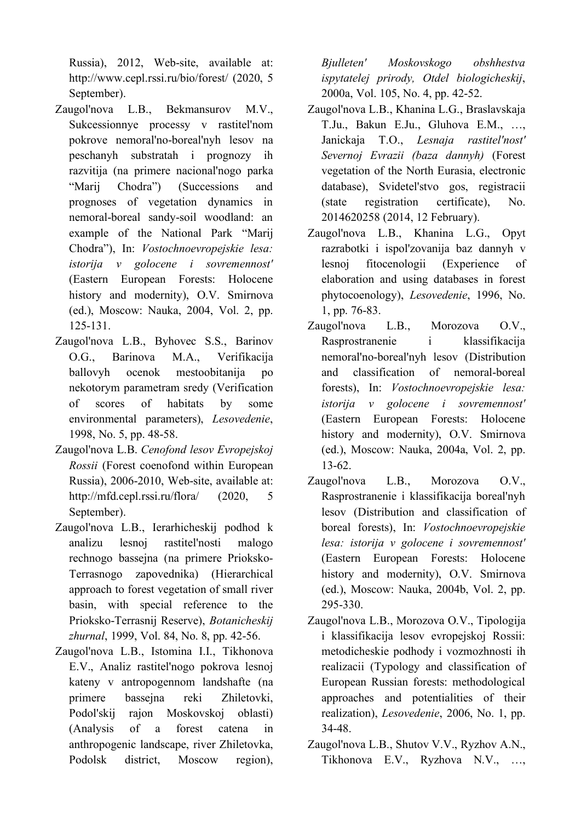Russia), 2012, Web-site, available at: http://www.cepl.rssi.ru/bio/forest/ (2020, 5 September).

- Zaugol'nova L.B., Bekmansurov M.V., Sukcessionnye processy v rastitel'nom pokrove nemoral'no-boreal'nyh lesov na peschanyh substratah i prognozy ih razvitija (na primere nacional'nogo parka "Marij Chodra") (Successions and prognoses of vegetation dynamics in nemoral-boreal sandy-soil woodland: an example of the National Park "Marij Chodra"), In: *Vostochnoevropejskie lesa: istorija v golocene i sovremennost'* (Eastern European Forests: Holocene history and modernity), O.V. Smirnova (ed.), Moscow: Nauka, 2004, Vol. 2, pp. 125-131.
- Zaugol'nova L.B., Byhovec S.S., Barinov O.G., Barinova M.A., Verifikacija ballovyh ocenok mestoobitanija po nekotorym parametram sredy (Verification of scores of habitats by some environmental parameters), *Lesovedenie*, 1998, No. 5, pp. 48-58.
- Zaugol'nova L.B. *Cenofond lesov Evropejskoj Rossii* (Forest coenofond within European Russia), 2006-2010, Web-site, available at: http://mfd.cepl.rssi.ru/flora/ (2020, 5 September).
- Zaugol'nova L.B., Ierarhicheskij podhod k analizu lesnoj rastitel'nosti malogo rechnogo bassejna (na primere Prioksko-Terrasnogo zapovednika) (Hierarchical approach to forest vegetation of small river basin, with special reference to the Prioksko-Terrasnij Reserve), *Botanicheskij zhurnal*, 1999, Vol. 84, No. 8, pp. 42-56.
- Zaugol'nova L.B., Istomina I.I., Tikhonova E.V., Analiz rastitel'nogo pokrova lesnoj kateny v antropogennom landshafte (na primere bassejna reki Zhiletovki, Podol'skij rajon Moskovskoj oblasti) (Analysis of a forest catena in anthropogenic landscape, river Zhiletovka, Podolsk district, Moscow region),

*Bjulleten' Moskovskogo obshhestva ispytatelej prirody, Otdel biologicheskij*, 2000a, Vol. 105, No. 4, pp. 42-52.

- Zaugol'nova L.B., Khanina L.G., Braslavskaja T.Ju., Bakun E.Ju., Gluhova E.M., …, Janickaja T.O., *Lesnaja rastitel'nost' Severnoj Evrazii (baza dannyh)* (Forest vegetation of the North Eurasia, electronic database), Svidetel'stvo gos, registracii (state registration certificate), No. 2014620258 (2014, 12 February).
- Zaugol'nova L.B., Khanina L.G., Opyt razrabotki i ispol'zovanija baz dannyh v lesnoj fitocenologii (Experience of elaboration and using databases in forest phytocoenology), *Lesovedenie*, 1996, No. 1, pp. 76-83.
- Zaugol'nova L.B., Morozova O.V., Rasprostranenie i klassifikacija nemoral'no-boreal'nyh lesov (Distribution and classification of nemoral-boreal forests), In: *Vostochnoevropejskie lesa: istorija v golocene i sovremennost'* (Eastern European Forests: Holocene history and modernity), O.V. Smirnova (ed.), Moscow: Nauka, 2004a, Vol. 2, pp. 13-62.
- Zaugol'nova L.B., Morozova O.V., Rasprostranenie i klassifikacija boreal'nyh lesov (Distribution and classification of boreal forests), In: *Vostochnoevropejskie lesa: istorija v golocene i sovremennost'* (Eastern European Forests: Holocene history and modernity), O.V. Smirnova (ed.), Moscow: Nauka, 2004b, Vol. 2, pp. 295-330.
- Zaugol'nova L.B., Morozova O.V., Tipologija i klassifikacija lesov evropejskoj Rossii: metodicheskie podhody i vozmozhnosti ih realizacii (Typology and classification of European Russian forests: methodological approaches and potentialities of their realization), *Lesovedenie*, 2006, No. 1, pp. 34-48.
- Zaugol'nova L.B., Shutov V.V., Ryzhov A.N., Tikhonova E.V., Ryzhova N.V., …,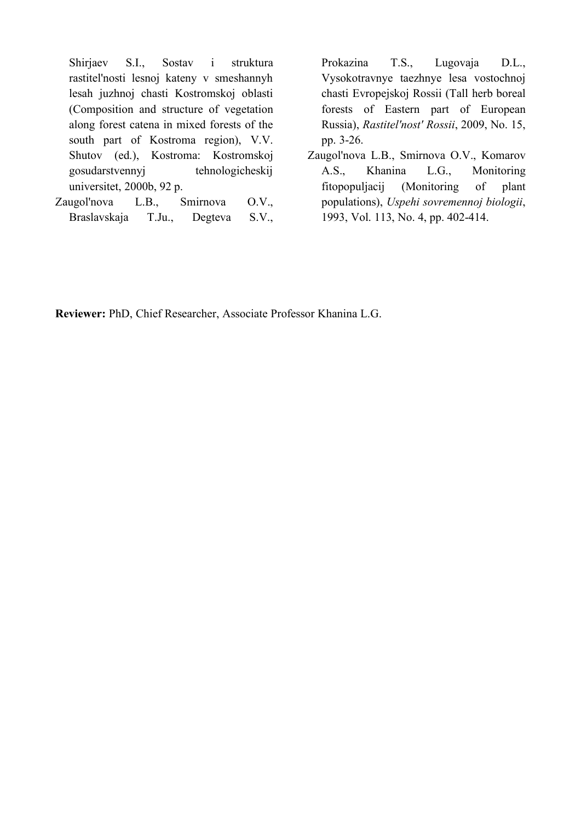Shirjaev S.I., Sostav i struktura rastitel'nosti lesnoj kateny v smeshannyh lesah juzhnoj chasti Kostromskoj oblasti (Composition and structure of vegetation along forest catena in mixed forests of the south part of Kostroma region), V.V. Shutov (ed.), Kostroma: Kostromskoj gosudarstvennyj tehnologicheskij universitet, 2000b, 92 p.

Zaugol'nova L.B., Smirnova O.V., Braslavskaja T.Ju., Degteva S.V., Prokazina T.S., Lugovaja D.L., Vysokotravnye taezhnye lesa vostochnoj chasti Evropejskoj Rossii (Tall herb boreal forests of Eastern part of European Russia), *Rastitel'nost' Rossii*, 2009, No. 15, pp. 3-26.

Zaugol'nova L.B., Smirnova O.V., Komarov A.S., Khanina L.G., Monitoring fitopopuljacij (Monitoring of plant populations), *Uspehi sovremennoj biologii*, 1993, Vol. 113, No. 4, pp. 402-414.

**Reviewer:** PhD, Chief Researcher, Associate Professor Khanina L.G.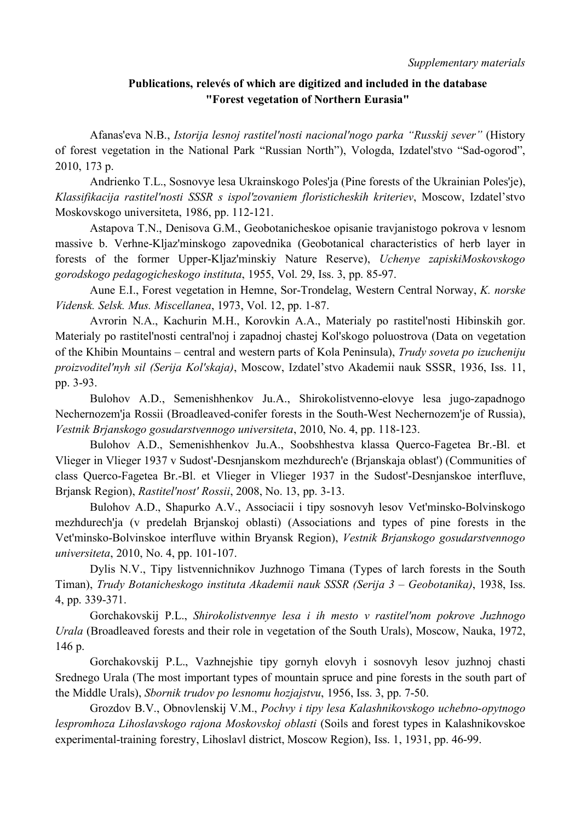*Supplementary materials*

## **Publications, relevés of which are digitized and included in the database "Forest vegetation of Northern Eurasia"**

Afanas'eva N.B., *Istorija lesnoj rastitel'nosti nacional'nogo parka "Russkij sever"* (History of forest vegetation in the National Park "Russian North"), Vologda, Izdatel'stvo "Sad-ogorod", 2010, 173 p.

Andrienko T.L., Sosnovye lesa Ukrainskogo Poles'ja (Pine forests of the Ukrainian Poles'je), *Klassifikacija rastitel'nosti SSSR s ispol'zovaniem floristicheskih kriteriev*, Moscow, Izdatel'stvo Moskovskogo universiteta, 1986, pp. 112-121.

Astapova T.N., Denisova G.M., Geobotanicheskoe opisanie travjanistogo pokrova v lesnom massive b. Verhne-Kljaz'minskogo zapovednika (Geobotanical characteristics of herb layer in forests of the former Upper-Kljaz'minskiy Nature Reserve), *Uchenye zapiskiMoskovskogo gorodskogo pedagogicheskogo instituta*, 1955, Vol. 29, Iss. 3, pp. 85-97.

Aune E.I., Forest vegetation in Hemne, Sor-Trondelag, Western Central Norway, *K. norske Vidensk. Selsk. Mus. Miscellanea*, 1973, Vol. 12, pp. 1-87.

Avrorin N.A., Kachurin M.H., Korovkin A.A., Materialy po rastitel'nosti Hibinskih gor. Materialy po rastitel'nosti central'noj i zapadnoj chastej Kol'skogo poluostrova (Data on vegetation of the Khibin Mountains – central and western parts of Kola Peninsula), *Trudy soveta po izucheniju proizvoditel'nyh sil (Serija Kol'skaja)*, Moscow, Izdatel'stvo Akademii nauk SSSR, 1936, Iss. 11, pp. 3-93.

Bulohov A.D., Semenishhenkov Ju.A., Shirokolistvenno-elovye lesa jugo-zapadnogo Nechernozem'ja Rossii (Broadleaved-conifer forests in the South-West Nechernozem'je of Russia), *Vestnik Brjanskogo gosudarstvennogo universiteta*, 2010, No. 4, pp. 118-123.

Bulohov A.D., Semenishhenkov Ju.A., Soobshhestva klassa Querco-Fagetea Br.-Bl. et Vlieger in Vlieger 1937 v Sudost'-Desnjanskom mezhdurech'e (Brjanskaja oblast') (Communities of class Querco-Fagetea Br.-Bl. et Vlieger in Vlieger 1937 in the Sudost'-Desnjanskoe interfluve, Brjansk Region), *Rastitel'nost' Rossii*, 2008, No. 13, pp. 3-13.

Bulohov A.D., Shapurko A.V., Associacii i tipy sosnovyh lesov Vet'minsko-Bolvinskogo mezhdurech'ja (v predelah Brjanskoj oblasti) (Associations and types of pine forests in the Vet'minsko-Bolvinskoe interfluve within Bryansk Region), *Vestnik Brjanskogo gosudarstvennogo universiteta*, 2010, No. 4, pp. 101-107.

Dylis N.V., Tipy listvennichnikov Juzhnogo Timana (Types of larch forests in the South Timan), *Trudy Botanicheskogo instituta Akademii nauk SSSR (Serija 3 – Geobotanika)*, 1938, Iss. 4, pp. 339-371.

Gorchakovskij P.L., *Shirokolistvennye lesa i ih mesto v rastitel'nom pokrove Juzhnogo Urala* (Broadleaved forests and their role in vegetation of the South Urals), Moscow, Nauka, 1972, 146 p.

Gorchakovskij P.L., Vazhnejshie tipy gornyh elovyh i sosnovyh lesov juzhnoj chasti Srednego Urala (The most important types of mountain spruce and pine forests in the south part of the Middle Urals), *Sbornik trudov po lesnomu hozjajstvu*, 1956, Iss. 3, pp. 7-50.

Grozdov B.V., Obnovlenskij V.M., *Pochvy i tipy lesa Kalashnikovskogo uchebno-opytnogo lespromhoza Lihoslavskogo rajona Moskovskoj oblasti* (Soils and forest types in Kalashnikovskoe experimental-training forestry, Lihoslavl district, Moscow Region), Iss. 1, 1931, pp. 46-99.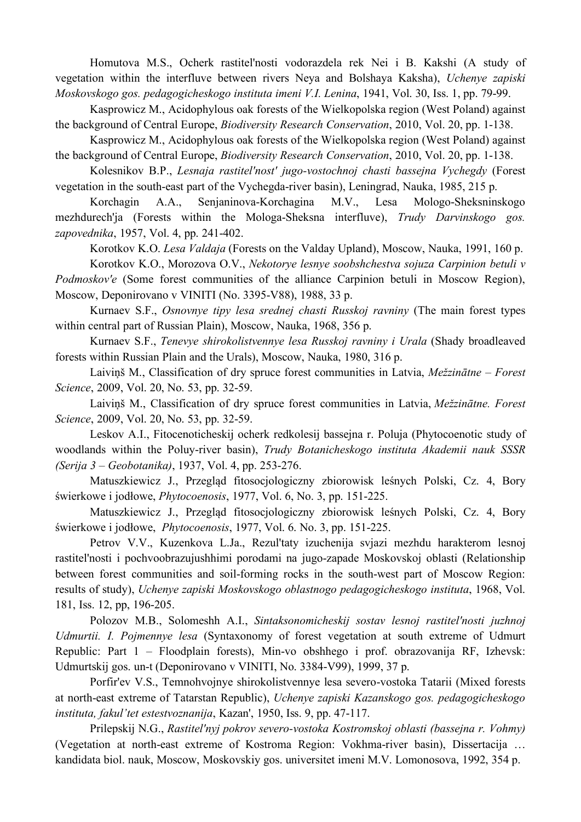Homutova M.S., Ocherk rastitel'nosti vodorazdela rek Nei i B. Kakshi (A study of vegetation within the interfluve between rivers Neya and Bolshaya Kaksha), *Uchenye zapiski Moskovskogo gos. pedagogicheskogo instituta imeni V.I. Lenina*, 1941, Vol. 30, Iss. 1, pp. 79-99.

Kasprowicz M., Acidophylous oak forests of the Wielkopolska region (West Poland) against the background of Central Europe, *Biodiversity Research Conservation*, 2010, Vol. 20, pp. 1-138.

Kasprowicz M., Acidophylous oak forests of the Wielkopolska region (West Poland) against the background of Central Europe, *Biodiversity Research Conservation*, 2010, Vol. 20, pp. 1-138.

Kolesnikov B.P., *Lesnaja rastitel'nost' jugo-vostochnoj chasti bassejna Vychegdy* (Forest vegetation in the south-east part of the Vychegda-river basin), Leningrad, Nauka, 1985, 215 p.

Korchagin A.A., Senjaninova-Korchagina M.V., Lesa Mologo-Sheksninskogo mezhdurech'ja (Forests within the Mologa-Sheksna interfluve), *Trudy Darvinskogo gos. zapovednika*, 1957, Vol. 4, pp. 241-402.

Korotkov K.O. *Lesa Valdaja* (Forests on the Valday Upland), Moscow, Nauka, 1991, 160 p.

Korotkov K.O., Morozova O.V., *Nekotorye lesnye soobshchestva sojuza Carpinion betuli v Podmoskov'e* (Some forest communities of the alliance Carpinion betuli in Moscow Region),

Moscow, Deponirovano v VINITI (No. 3395-V88), 1988, 33 p.

Kurnaev S.F., *Osnovnye tipy lesa srednej chasti Russkoj ravniny* (The main forest types within central part of Russian Plain), Moscow, Nauka, 1968, 356 p.

Kurnaev S.F., *Tenevye shirokolistvennye lesa Russkoj ravniny i Urala* (Shady broadleaved forests within Russian Plain and the Urals), Moscow, Nauka, 1980, 316 p.

Laiviņš M., Classification of dry spruce forest communities in Latvia, *Mežzinātne – Forest Science*, 2009, Vol. 20, No. 53, pp. 32-59.

Laiviņš M., Classification of dry spruce forest communities in Latvia, *Mežzinātne. Forest Science*, 2009, Vol. 20, No. 53, pp. 32-59.

Leskov A.I., Fitocenoticheskij ocherk redkolesij bassejna r. Poluja (Phytocoenotic study of woodlands within the Poluy-river basin), *Trudy Botanicheskogo instituta Akademii nauk SSSR (Serija 3 – Geobotanika)*, 1937, Vol. 4, pp. 253-276.

Matuszkiewicz J., Przegląd fitosocjologiczny zbiorowisk leśnych Polski, Cz. 4, Bory świerkowe i jodłowe, *Phytocoenosis*, 1977, Vol. 6, No. 3, pp. 151-225.

Matuszkiewicz J., Przegląd fitosocjologiczny zbiorowisk leśnych Polski, Cz. 4, Bory świerkowe i jodłowe, *Phytocoenosis*, 1977, Vol. 6. No. 3, pp. 151-225.

Petrov V.V., Kuzenkova L.Ja., Rezul'taty izuchenija svjazi mezhdu harakterom lesnoj rastitel'nosti i pochvoobrazujushhimi porodami na jugo-zapade Moskovskoj oblasti (Relationship between forest communities and soil-forming rocks in the south-west part of Moscow Region: results of study), *Uchenye zapiski Moskovskogo oblastnogo pedagogicheskogo instituta*, 1968, Vol. 181, Iss. 12, pp, 196-205.

Polozov M.B., Solomeshh A.I., *Sintaksonomicheskij sostav lesnoj rastitel'nosti juzhnoj Udmurtii. I. Pojmennye lesa* (Syntaxonomy of forest vegetation at south extreme of Udmurt Republic: Part 1 – Floodplain forests), Min-vo obshhego i prof. obrazovanija RF, Izhevsk: Udmurtskij gos. un-t (Deponirovano v VINITI, No. 3384-V99), 1999, 37 p.

Porfir'ev V.S., Temnohvojnye shirokolistvennye lesa severo-vostoka Tatarii (Mixed forests at north-east extreme of Tatarstan Republic), *Uchenye zapiski Kazanskogo gos. pedagogicheskogo instituta, fakul'tet estestvoznanija*, Kazan', 1950, Iss. 9, pp. 47-117.

Prilepskij N.G., *Rastitel'nyj pokrov severo-vostoka Kostromskoj oblasti (bassejna r. Vohmy)* (Vegetation at north-east extreme of Kostroma Region: Vokhma-river basin), Dissertacija … kandidata biol. nauk, Moscow, Moskovskiy gos. universitet imeni M.V. Lomonosova, 1992, 354 p.